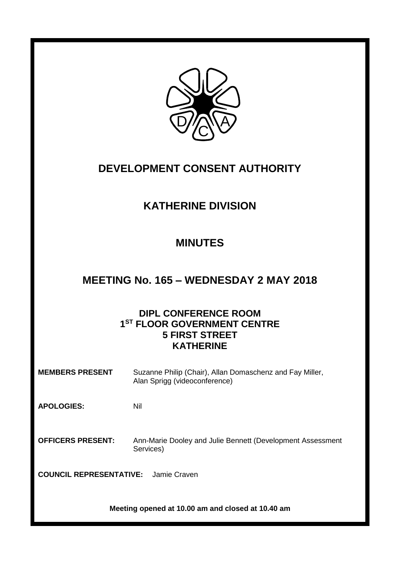

# **DEVELOPMENT CONSENT AUTHORITY**

# **KATHERINE DIVISION**

### **MINUTES**

### **MEETING No. 165 – WEDNESDAY 2 MAY 2018**

### **DIPL CONFERENCE ROOM 1 ST FLOOR GOVERNMENT CENTRE 5 FIRST STREET KATHERINE**

| <b>MEMBERS PRESENT</b>                         | Suzanne Philip (Chair), Allan Domaschenz and Fay Miller,<br>Alan Sprigg (videoconference) |
|------------------------------------------------|-------------------------------------------------------------------------------------------|
| <b>APOLOGIES:</b>                              | Nil                                                                                       |
| <b>OFFICERS PRESENT:</b>                       | Ann-Marie Dooley and Julie Bennett (Development Assessment<br>Services)                   |
| <b>COUNCIL REPRESENTATIVE:</b><br>Jamie Craven |                                                                                           |

**Meeting opened at 10.00 am and closed at 10.40 am**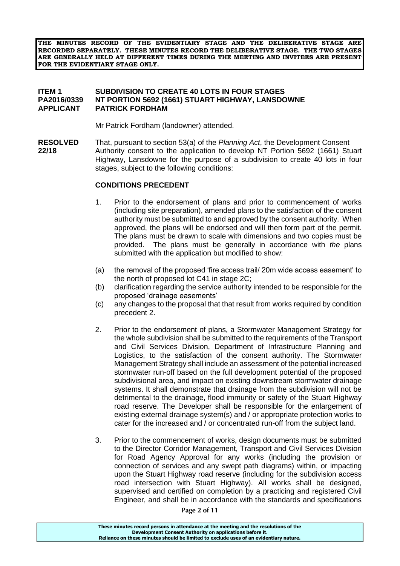**THE MINUTES RECORD OF THE EVIDENTIARY STAGE AND THE DELIBERATIVE STAGE ARE RECORDED SEPARATELY. THESE MINUTES RECORD THE DELIBERATIVE STAGE. THE TWO STAGES ARE GENERALLY HELD AT DIFFERENT TIMES DURING THE MEETING AND INVITEES ARE PRESENT FOR THE EVIDENTIARY STAGE ONLY.**

#### **ITEM 1 SUBDIVISION TO CREATE 40 LOTS IN FOUR STAGES PA2016/0339 NT PORTION 5692 (1661) STUART HIGHWAY, LANSDOWNE APPLICANT PATRICK FORDHAM**

Mr Patrick Fordham (landowner) attended.

**RESOLVED** That, pursuant to section 53(a) of the *Planning Act*, the Development Consent **22/18** Authority consent to the application to develop NT Portion 5692 (1661) Stuart Highway, Lansdowne for the purpose of a subdivision to create 40 lots in four stages, subject to the following conditions:

#### **CONDITIONS PRECEDENT**

- 1. Prior to the endorsement of plans and prior to commencement of works (including site preparation), amended plans to the satisfaction of the consent authority must be submitted to and approved by the consent authority. When approved, the plans will be endorsed and will then form part of the permit. The plans must be drawn to scale with dimensions and two copies must be provided. The plans must be generally in accordance with *the* plans submitted with the application but modified to show:
- (a) the removal of the proposed 'fire access trail/ 20m wide access easement' to the north of proposed lot C41 in stage 2C;
- (b) clarification regarding the service authority intended to be responsible for the proposed 'drainage easements'
- (c) any changes to the proposal that that result from works required by condition precedent 2.
- 2. Prior to the endorsement of plans, a Stormwater Management Strategy for the whole subdivision shall be submitted to the requirements of the Transport and Civil Services Division, Department of Infrastructure Planning and Logistics, to the satisfaction of the consent authority. The Stormwater Management Strategy shall include an assessment of the potential increased stormwater run-off based on the full development potential of the proposed subdivisional area, and impact on existing downstream stormwater drainage systems. It shall demonstrate that drainage from the subdivision will not be detrimental to the drainage, flood immunity or safety of the Stuart Highway road reserve. The Developer shall be responsible for the enlargement of existing external drainage system(s) and / or appropriate protection works to cater for the increased and / or concentrated run-off from the subject land.
- 3. Prior to the commencement of works, design documents must be submitted to the Director Corridor Management, Transport and Civil Services Division for Road Agency Approval for any works (including the provision or connection of services and any swept path diagrams) within, or impacting upon the Stuart Highway road reserve (including for the subdivision access road intersection with Stuart Highway). All works shall be designed, supervised and certified on completion by a practicing and registered Civil Engineer, and shall be in accordance with the standards and specifications

**Page 2 of 11**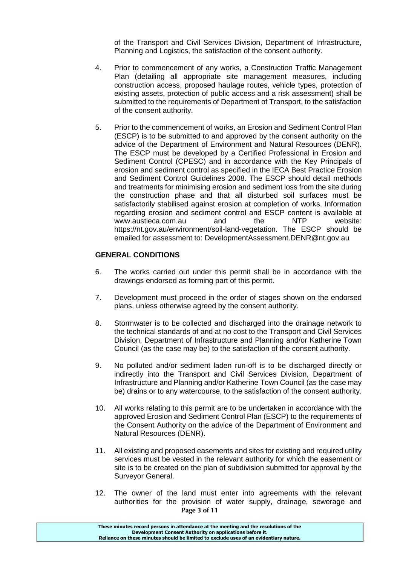of the Transport and Civil Services Division, Department of Infrastructure, Planning and Logistics, the satisfaction of the consent authority.

- 4. Prior to commencement of any works, a Construction Traffic Management Plan (detailing all appropriate site management measures, including construction access, proposed haulage routes, vehicle types, protection of existing assets, protection of public access and a risk assessment) shall be submitted to the requirements of Department of Transport, to the satisfaction of the consent authority.
- 5. Prior to the commencement of works, an Erosion and Sediment Control Plan (ESCP) is to be submitted to and approved by the consent authority on the advice of the Department of Environment and Natural Resources (DENR). The ESCP must be developed by a Certified Professional in Erosion and Sediment Control (CPESC) and in accordance with the Key Principals of erosion and sediment control as specified in the IECA Best Practice Erosion and Sediment Control Guidelines 2008. The ESCP should detail methods and treatments for minimising erosion and sediment loss from the site during the construction phase and that all disturbed soil surfaces must be satisfactorily stabilised against erosion at completion of works. Information regarding erosion and sediment control and ESCP content is available at www.austieca.com.au and the NTP website: https://nt.gov.au/environment/soil-land-vegetation. The ESCP should be emailed for assessment to: DevelopmentAssessment.DENR@nt.gov.au

#### **GENERAL CONDITIONS**

- 6. The works carried out under this permit shall be in accordance with the drawings endorsed as forming part of this permit.
- 7. Development must proceed in the order of stages shown on the endorsed plans, unless otherwise agreed by the consent authority.
- 8. Stormwater is to be collected and discharged into the drainage network to the technical standards of and at no cost to the Transport and Civil Services Division, Department of Infrastructure and Planning and/or Katherine Town Council (as the case may be) to the satisfaction of the consent authority.
- 9. No polluted and/or sediment laden run-off is to be discharged directly or indirectly into the Transport and Civil Services Division, Department of Infrastructure and Planning and/or Katherine Town Council (as the case may be) drains or to any watercourse, to the satisfaction of the consent authority.
- 10. All works relating to this permit are to be undertaken in accordance with the approved Erosion and Sediment Control Plan (ESCP) to the requirements of the Consent Authority on the advice of the Department of Environment and Natural Resources (DENR).
- 11. All existing and proposed easements and sites for existing and required utility services must be vested in the relevant authority for which the easement or site is to be created on the plan of subdivision submitted for approval by the Surveyor General.
- **Page 3 of 11** 12. The owner of the land must enter into agreements with the relevant authorities for the provision of water supply, drainage, sewerage and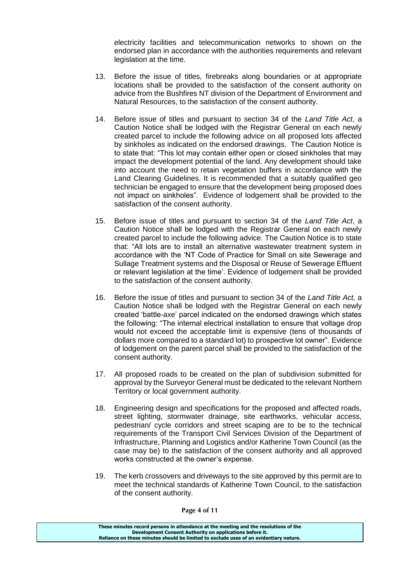electricity facilities and telecommunication networks to shown on the endorsed plan in accordance with the authorities requirements and relevant legislation at the time.

- 13. Before the issue of titles, firebreaks along boundaries or at appropriate locations shall be provided to the satisfaction of the consent authority on advice from the Bushfires NT division of the Department of Environment and Natural Resources, to the satisfaction of the consent authority.
- 14. Before issue of titles and pursuant to section 34 of the *Land Title Act*, a Caution Notice shall be lodged with the Registrar General on each newly created parcel to include the following advice on all proposed lots affected by sinkholes as indicated on the endorsed drawings. The Caution Notice is to state that: "This lot may contain either open or closed sinkholes that may impact the development potential of the land. Any development should take into account the need to retain vegetation buffers in accordance with the Land Clearing Guidelines. It is recommended that a suitably qualified geo technician be engaged to ensure that the development being proposed does not impact on sinkholes". Evidence of lodgement shall be provided to the satisfaction of the consent authority.
- 15. Before issue of titles and pursuant to section 34 of the *Land Title Act*, a Caution Notice shall be lodged with the Registrar General on each newly created parcel to include the following advice. The Caution Notice is to state that: "All lots are to install an alternative wastewater treatment system in accordance with the 'NT Code of Practice for Small on site Sewerage and Sullage Treatment systems and the Disposal or Reuse of Sewerage Effluent or relevant legislation at the time'. Evidence of lodgement shall be provided to the satisfaction of the consent authority.
- 16. Before the issue of titles and pursuant to section 34 of the *Land Title Act,* a Caution Notice shall be lodged with the Registrar General on each newly created 'battle-axe' parcel indicated on the endorsed drawings which states the following: "The internal electrical installation to ensure that voltage drop would not exceed the acceptable limit is expensive (tens of thousands of dollars more compared to a standard lot) to prospective lot owner". Evidence of lodgement on the parent parcel shall be provided to the satisfaction of the consent authority.
- 17. All proposed roads to be created on the plan of subdivision submitted for approval by the Surveyor General must be dedicated to the relevant Northern Territory or local government authority.
- 18. Engineering design and specifications for the proposed and affected roads, street lighting, stormwater drainage, site earthworks, vehicular access, pedestrian/ cycle corridors and street scaping are to be to the technical requirements of the Transport Civil Services Division of the Department of Infrastructure, Planning and Logistics and/or Katherine Town Council (as the case may be) to the satisfaction of the consent authority and all approved works constructed at the owner's expense.
- 19. The kerb crossovers and driveways to the site approved by this permit are to meet the technical standards of Katherine Town Council, to the satisfaction of the consent authority.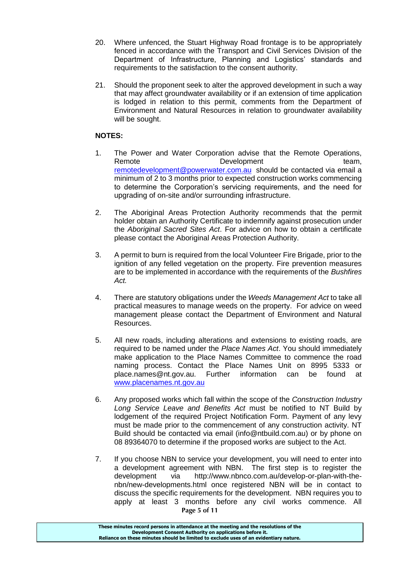- 20. Where unfenced, the Stuart Highway Road frontage is to be appropriately fenced in accordance with the Transport and Civil Services Division of the Department of Infrastructure, Planning and Logistics' standards and requirements to the satisfaction to the consent authority.
- 21. Should the proponent seek to alter the approved development in such a way that may affect groundwater availability or if an extension of time application is lodged in relation to this permit, comments from the Department of Environment and Natural Resources in relation to groundwater availability will be sought.

#### **NOTES:**

- 1. The Power and Water Corporation advise that the Remote Operations, Remote **Development Contains the Development** team, [remotedevelopment@powerwater.com.au](mailto:remotedevelopment@powerwater.com.au) should be contacted via email a minimum of 2 to 3 months prior to expected construction works commencing to determine the Corporation's servicing requirements, and the need for upgrading of on-site and/or surrounding infrastructure.
- 2. The Aboriginal Areas Protection Authority recommends that the permit holder obtain an Authority Certificate to indemnify against prosecution under the *Aboriginal Sacred Sites Act*. For advice on how to obtain a certificate please contact the Aboriginal Areas Protection Authority.
- 3. A permit to burn is required from the local Volunteer Fire Brigade, prior to the ignition of any felled vegetation on the property. Fire prevention measures are to be implemented in accordance with the requirements of the *Bushfires Act.*
- 4. There are statutory obligations under the *Weeds Management Act* to take all practical measures to manage weeds on the property. For advice on weed management please contact the Department of Environment and Natural Resources.
- 5. All new roads, including alterations and extensions to existing roads, are required to be named under the *Place Names Act*. You should immediately make application to the Place Names Committee to commence the road naming process. Contact the Place Names Unit on 8995 5333 or place.names@nt.gov.au. Further information can be found at [www.placenames.nt.gov.au](http://www.placenames.nt.gov.au/)
- 6. Any proposed works which fall within the scope of the *Construction Industry Long Service Leave and Benefits Act* must be notified to NT Build by lodgement of the required Project Notification Form. Payment of any levy must be made prior to the commencement of any construction activity. NT Build should be contacted via email (info@ntbuild.com.au) or by phone on 08 89364070 to determine if the proposed works are subject to the Act.
- **Page 5 of 11** 7. If you choose NBN to service your development, you will need to enter into a development agreement with NBN. The first step is to register the development via http://www.nbnco.com.au/develop-or-plan-with-thenbn/new-developments.html once registered NBN will be in contact to discuss the specific requirements for the development. NBN requires you to apply at least 3 months before any civil works commence. All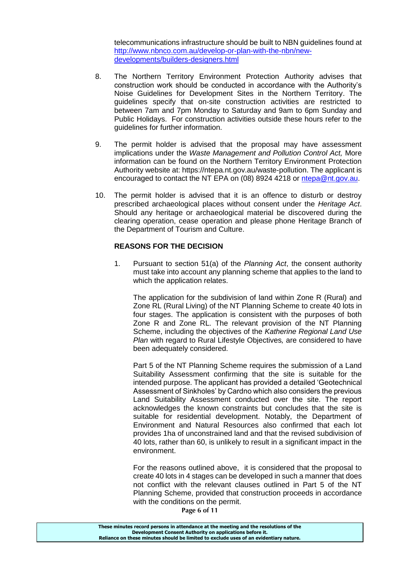telecommunications infrastructure should be built to NBN guidelines found at [http://www.nbnco.com.au/develop-or-plan-with-the-nbn/new](http://www.nbnco.com.au/develop-or-plan-with-the-nbn/new-developments/builders-designers.html)[developments/builders-designers.html](http://www.nbnco.com.au/develop-or-plan-with-the-nbn/new-developments/builders-designers.html)

- 8. The Northern Territory Environment Protection Authority advises that construction work should be conducted in accordance with the Authority's Noise Guidelines for Development Sites in the Northern Territory. The guidelines specify that on-site construction activities are restricted to between 7am and 7pm Monday to Saturday and 9am to 6pm Sunday and Public Holidays. For construction activities outside these hours refer to the guidelines for further information.
- 9. The permit holder is advised that the proposal may have assessment implications under the *Waste Management and Pollution Control Act,* More information can be found on the Northern Territory Environment Protection Authority website at: https://ntepa.nt.gov.au/waste-pollution. The applicant is encouraged to contact the NT EPA on (08) 8924 4218 or [ntepa@nt.gov.au.](mailto:ntepa@nt.gov.au)
- 10. The permit holder is advised that it is an offence to disturb or destroy prescribed archaeological places without consent under the *Heritage Act*. Should any heritage or archaeological material be discovered during the clearing operation, cease operation and please phone Heritage Branch of the Department of Tourism and Culture.

#### **REASONS FOR THE DECISION**

1. Pursuant to section 51(a) of the *Planning Act*, the consent authority must take into account any planning scheme that applies to the land to which the application relates.

The application for the subdivision of land within Zone R (Rural) and Zone RL (Rural Living) of the NT Planning Scheme to create 40 lots in four stages. The application is consistent with the purposes of both Zone R and Zone RL. The relevant provision of the NT Planning Scheme, including the objectives of the *Katherine Regional Land Use Plan* with regard to Rural Lifestyle Objectives*,* are considered to have been adequately considered.

Part 5 of the NT Planning Scheme requires the submission of a Land Suitability Assessment confirming that the site is suitable for the intended purpose. The applicant has provided a detailed 'Geotechnical Assessment of Sinkholes' by Cardno which also considers the previous Land Suitability Assessment conducted over the site. The report acknowledges the known constraints but concludes that the site is suitable for residential development. Notably, the Department of Environment and Natural Resources also confirmed that each lot provides 1ha of unconstrained land and that the revised subdivision of 40 lots, rather than 60, is unlikely to result in a significant impact in the environment.

For the reasons outlined above, it is considered that the proposal to create 40 lots in 4 stages can be developed in such a manner that does not conflict with the relevant clauses outlined in Part 5 of the NT Planning Scheme, provided that construction proceeds in accordance with the conditions on the permit.

**Page 6 of 11**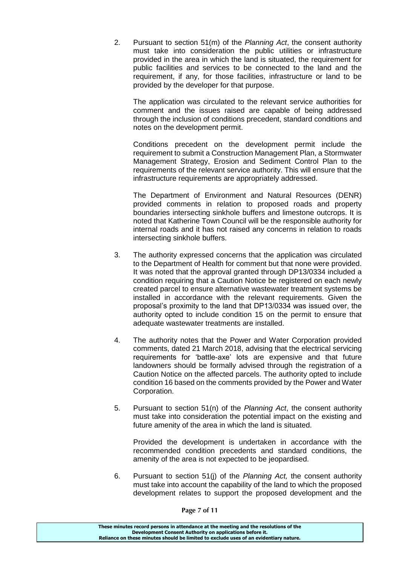2. Pursuant to section 51(m) of the *Planning Act*, the consent authority must take into consideration the public utilities or infrastructure provided in the area in which the land is situated, the requirement for public facilities and services to be connected to the land and the requirement, if any, for those facilities, infrastructure or land to be provided by the developer for that purpose.

The application was circulated to the relevant service authorities for comment and the issues raised are capable of being addressed through the inclusion of conditions precedent, standard conditions and notes on the development permit.

Conditions precedent on the development permit include the requirement to submit a Construction Management Plan, a Stormwater Management Strategy, Erosion and Sediment Control Plan to the requirements of the relevant service authority. This will ensure that the infrastructure requirements are appropriately addressed.

The Department of Environment and Natural Resources (DENR) provided comments in relation to proposed roads and property boundaries intersecting sinkhole buffers and limestone outcrops. It is noted that Katherine Town Council will be the responsible authority for internal roads and it has not raised any concerns in relation to roads intersecting sinkhole buffers.

- 3. The authority expressed concerns that the application was circulated to the Department of Health for comment but that none were provided. It was noted that the approval granted through DP13/0334 included a condition requiring that a Caution Notice be registered on each newly created parcel to ensure alternative wastewater treatment systems be installed in accordance with the relevant requirements. Given the proposal's proximity to the land that DP13/0334 was issued over, the authority opted to include condition 15 on the permit to ensure that adequate wastewater treatments are installed.
- 4. The authority notes that the Power and Water Corporation provided comments, dated 21 March 2018, advising that the electrical servicing requirements for 'battle-axe' lots are expensive and that future landowners should be formally advised through the registration of a Caution Notice on the affected parcels. The authority opted to include condition 16 based on the comments provided by the Power and Water Corporation.
- 5. Pursuant to section 51(n) of the *Planning Act*, the consent authority must take into consideration the potential impact on the existing and future amenity of the area in which the land is situated.

Provided the development is undertaken in accordance with the recommended condition precedents and standard conditions, the amenity of the area is not expected to be jeopardised.

6. Pursuant to section 51(j) of the *Planning Act,* the consent authority must take into account the capability of the land to which the proposed development relates to support the proposed development and the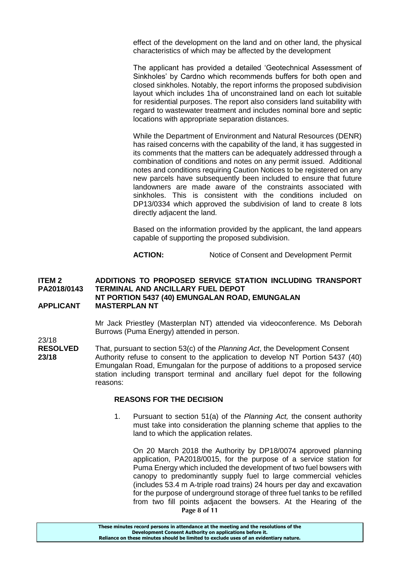effect of the development on the land and on other land, the physical characteristics of which may be affected by the development

The applicant has provided a detailed 'Geotechnical Assessment of Sinkholes' by Cardno which recommends buffers for both open and closed sinkholes. Notably, the report informs the proposed subdivision layout which includes 1ha of unconstrained land on each lot suitable for residential purposes. The report also considers land suitability with regard to wastewater treatment and includes nominal bore and septic locations with appropriate separation distances.

While the Department of Environment and Natural Resources (DENR) has raised concerns with the capability of the land, it has suggested in its comments that the matters can be adequately addressed through a combination of conditions and notes on any permit issued. Additional notes and conditions requiring Caution Notices to be registered on any new parcels have subsequently been included to ensure that future landowners are made aware of the constraints associated with sinkholes. This is consistent with the conditions included on DP13/0334 which approved the subdivision of land to create 8 lots directly adjacent the land.

Based on the information provided by the applicant, the land appears capable of supporting the proposed subdivision.

ACTION: Notice of Consent and Development Permit

#### **ITEM 2 ADDITIONS TO PROPOSED SERVICE STATION INCLUDING TRANSPORT PA2018/0143 TERMINAL AND ANCILLARY FUEL DEPOT NT PORTION 5437 (40) EMUNGALAN ROAD, EMUNGALAN APPLICANT MASTERPLAN NT**

Mr Jack Priestley (Masterplan NT) attended via videoconference. Ms Deborah Burrows (Puma Energy) attended in person.

23/18

**RESOLVED** That, pursuant to section 53(c) of the *Planning Act*, the Development Consent **23/18** Authority refuse to consent to the application to develop NT Portion 5437 (40) Emungalan Road, Emungalan for the purpose of additions to a proposed service station including transport terminal and ancillary fuel depot for the following reasons:

#### **REASONS FOR THE DECISION**

1. Pursuant to section 51(a) of the *Planning Act,* the consent authority must take into consideration the planning scheme that applies to the land to which the application relates.

**Page 8 of 11** On 20 March 2018 the Authority by DP18/0074 approved planning application, PA2018/0015, for the purpose of a service station for Puma Energy which included the development of two fuel bowsers with canopy to predominantly supply fuel to large commercial vehicles (includes 53.4 m A-triple road trains) 24 hours per day and excavation for the purpose of underground storage of three fuel tanks to be refilled from two fill points adjacent the bowsers. At the Hearing of the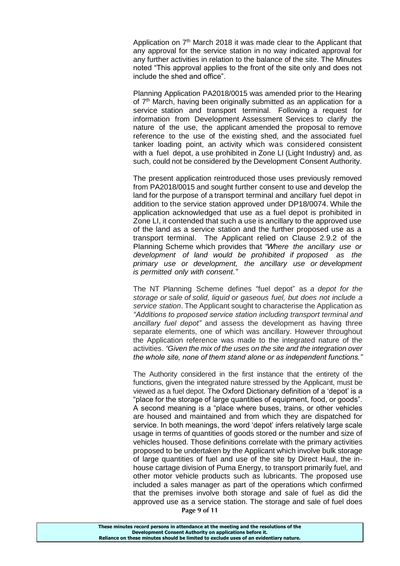Application on 7<sup>th</sup> March 2018 it was made clear to the Applicant that any approval for the service station in no way indicated approval for any further activities in relation to the balance of the site. The Minutes noted "This approval applies to the front of the site only and does not include the shed and office".

Planning Application PA2018/0015 was amended prior to the Hearing of 7<sup>th</sup> March, having been originally submitted as an application for a service station and transport terminal. Following a request for information from Development Assessment Services to clarify the nature of the use, the applicant amended the proposal to remove reference to the use of the existing shed, and the associated fuel tanker loading point, an activity which was considered consistent with a fuel depot, a use prohibited in Zone LI (Light Industry) and, as such, could not be considered by the Development Consent Authority.

The present application reintroduced those uses previously removed from PA2018/0015 and sought further consent to use and develop the land for the purpose of a transport terminal and ancillary fuel depot in addition to the service station approved under DP18/0074. While the application acknowledged that use as a fuel depot is prohibited in Zone LI, it contended that such a use is ancillary to the approved use of the land as a service station and the further proposed use as a transport terminal. The Applicant relied on Clause 2.9.2 of the Planning Scheme which provides that *"Where the ancillary use or development of land would be prohibited if proposed as the primary use or development, the ancillary use or development is permitted only with consent."*

The NT Planning Scheme defines "fuel depot" as *a depot for the storage or sale of solid, liquid or gaseous fuel, but does not include a service station*. The Applicant sought to characterise the Application as *"Additions to proposed service station including transport terminal and ancillary fuel depot"* and assess the development as having three separate elements, one of which was ancillary. However throughout the Application reference was made to the integrated nature of the activities. *"Given the mix of the uses on the site and the integration over the whole site, none of them stand alone or as independent functions."*

The Authority considered in the first instance that the entirety of the functions, given the integrated nature stressed by the Applicant, must be viewed as a fuel depot. The Oxford Dictionary definition of a 'depot' is a "place for the storage of large quantities of equipment, food, or goods". A second meaning is a "place where buses, trains, or other vehicles are housed and maintained and from which they are dispatched for service. In both meanings, the word 'depot' infers relatively large scale usage in terms of quantities of goods stored or the number and size of vehicles housed. Those definitions correlate with the primary activities proposed to be undertaken by the Applicant which involve bulk storage of large quantities of fuel and use of the site by Direct Haul, the inhouse cartage division of Puma Energy, to transport primarily fuel, and other motor vehicle products such as lubricants. The proposed use included a sales manager as part of the operations which confirmed that the premises involve both storage and sale of fuel as did the approved use as a service station. The storage and sale of fuel does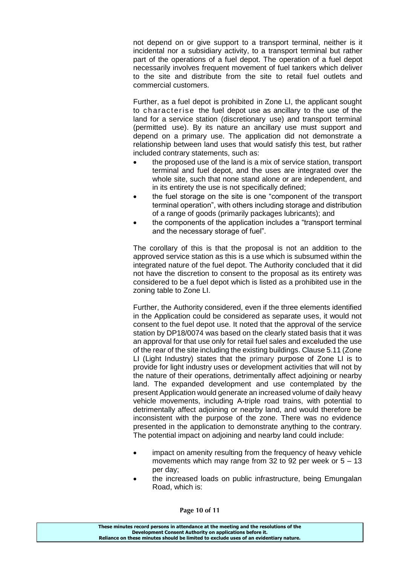not depend on or give support to a transport terminal, neither is it incidental nor a subsidiary activity, to a transport terminal but rather part of the operations of a fuel depot. The operation of a fuel depot necessarily involves frequent movement of fuel tankers which deliver to the site and distribute from the site to retail fuel outlets and commercial customers.

Further, as a fuel depot is prohibited in Zone LI, the applicant sought to characterise the fuel depot use as ancillary to the use of the land for a service station (discretionary use) and transport terminal (permitted use). By its nature an ancillary use must support and depend on a primary use. The application did not demonstrate a relationship between land uses that would satisfy this test, but rather included contrary statements, such as:

- the proposed use of the land is a mix of service station, transport terminal and fuel depot, and the uses are integrated over the whole site, such that none stand alone or are independent, and in its entirety the use is not specifically defined;
- the fuel storage on the site is one "component of the transport terminal operation", with others including storage and distribution of a range of goods (primarily packages lubricants); and
- the components of the application includes a "transport terminal and the necessary storage of fuel".

The corollary of this is that the proposal is not an addition to the approved service station as this is a use which is subsumed within the integrated nature of the fuel depot. The Authority concluded that it did not have the discretion to consent to the proposal as its entirety was considered to be a fuel depot which is listed as a prohibited use in the zoning table to Zone LI.

Further, the Authority considered, even if the three elements identified in the Application could be considered as separate uses, it would not consent to the fuel depot use. It noted that the approval of the service station by DP18/0074 was based on the clearly stated basis that it was an approval for that use only for retail fuel sales and exceluded the use of the rear of the site including the existing buildings. Clause 5.11 (Zone LI (Light Industry) states that the primary purpose of Zone LI is to provide for light industry uses or development activities that will not by the nature of their operations, detrimentally affect adjoining or nearby land. The expanded development and use contemplated by the present Application would generate an increased volume of daily heavy vehicle movements, including A-triple road trains, with potential to detrimentally affect adjoining or nearby land, and would therefore be inconsistent with the purpose of the zone. There was no evidence presented in the application to demonstrate anything to the contrary. The potential impact on adjoining and nearby land could include:

- impact on amenity resulting from the frequency of heavy vehicle movements which may range from 32 to 92 per week or 5 – 13 per day;
- the increased loads on public infrastructure, being Emungalan Road, which is:

**Page 10 of 11**